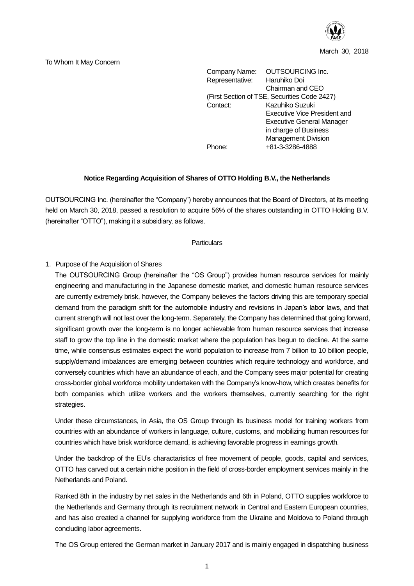

March 30, 2018

#### To Whom It May Concern

Company Name: OUTSOURCING Inc. Representative: Haruhiko Doi Chairman and CEO (First Section of TSE, Securities Code 2427) Contact: Kazuhiko Suzuki Executive Vice President and Executive General Manager in charge of Business Management Division Phone: +81-3-3286-4888

### **Notice Regarding Acquisition of Shares of OTTO Holding B.V., the Netherlands**

OUTSOURCING Inc. (hereinafter the "Company") hereby announces that the Board of Directors, at its meeting held on March 30, 2018, passed a resolution to acquire 56% of the shares outstanding in OTTO Holding B.V. (hereinafter "OTTO"), making it a subsidiary, as follows.

#### **Particulars**

### 1. Purpose of the Acquisition of Shares

The OUTSOURCING Group (hereinafter the "OS Group") provides human resource services for mainly engineering and manufacturing in the Japanese domestic market, and domestic human resource services are currently extremely brisk, however, the Company believes the factors driving this are temporary special demand from the paradigm shift for the automobile industry and revisions in Japan's labor laws, and that current strength will not last over the long-term. Separately, the Company has determined that going forward, significant growth over the long-term is no longer achievable from human resource services that increase staff to grow the top line in the domestic market where the population has begun to decline. At the same time, while consensus estimates expect the world population to increase from 7 billion to 10 billion people, supply/demand imbalances are emerging between countries which require technology and workforce, and conversely countries which have an abundance of each, and the Company sees major potential for creating cross-border global workforce mobility undertaken with the Company's know-how, which creates benefits for both companies which utilize workers and the workers themselves, currently searching for the right strategies.

Under these circumstances, in Asia, the OS Group through its business model for training workers from countries with an abundance of workers in language, culture, customs, and mobilizing human resources for countries which have brisk workforce demand, is achieving favorable progress in earnings growth.

Under the backdrop of the EU's charactaristics of free movement of people, goods, capital and services, OTTO has carved out a certain niche position in the field of cross-border employment services mainly in the Netherlands and Poland.

Ranked 8th in the industry by net sales in the Netherlands and 6th in Poland, OTTO supplies workforce to the Netherlands and Germany through its recruitment network in Central and Eastern European countries, and has also created a channel for supplying workforce from the Ukraine and Moldova to Poland through concluding labor agreements.

The OS Group entered the German market in January 2017 and is mainly engaged in dispatching business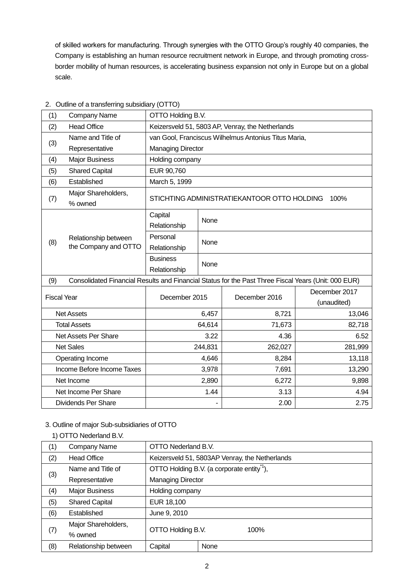of skilled workers for manufacturing. Through synergies with the OTTO Group's roughly 40 companies, the Company is establishing an human resource recruitment network in Europe, and through promoting crossborder mobility of human resources, is accelerating business expansion not only in Europe but on a global scale.

| (1)                                                                                                        | Company Name                                 | OTTO Holding B.V.                                   |                                                      |         |               |  |  |
|------------------------------------------------------------------------------------------------------------|----------------------------------------------|-----------------------------------------------------|------------------------------------------------------|---------|---------------|--|--|
| (2)                                                                                                        | <b>Head Office</b>                           | Keizersveld 51, 5803 AP, Venray, the Netherlands    |                                                      |         |               |  |  |
|                                                                                                            | Name and Title of                            |                                                     | van Gool, Franciscus Wilhelmus Antonius Titus Maria, |         |               |  |  |
| (3)                                                                                                        | Representative                               | <b>Managing Director</b>                            |                                                      |         |               |  |  |
| (4)                                                                                                        | <b>Major Business</b>                        | Holding company                                     |                                                      |         |               |  |  |
| (5)                                                                                                        | <b>Shared Capital</b>                        | EUR 90,760                                          |                                                      |         |               |  |  |
| (6)                                                                                                        | Established                                  | March 5, 1999                                       |                                                      |         |               |  |  |
| (7)                                                                                                        | Major Shareholders,<br>% owned               | STICHTING ADMINISTRATIEKANTOOR OTTO HOLDING<br>100% |                                                      |         |               |  |  |
|                                                                                                            |                                              | Capital<br>Relationship                             | None                                                 |         |               |  |  |
| (8)                                                                                                        | Relationship between<br>the Company and OTTO | Personal                                            |                                                      |         |               |  |  |
|                                                                                                            |                                              | Relationship                                        | None                                                 |         |               |  |  |
|                                                                                                            |                                              | <b>Business</b>                                     | None                                                 |         |               |  |  |
|                                                                                                            |                                              | Relationship                                        |                                                      |         |               |  |  |
| Consolidated Financial Results and Financial Status for the Past Three Fiscal Years (Unit: 000 EUR)<br>(9) |                                              |                                                     |                                                      |         |               |  |  |
| <b>Fiscal Year</b>                                                                                         |                                              | December 2015                                       | December 2016                                        |         | December 2017 |  |  |
|                                                                                                            |                                              |                                                     |                                                      |         | (unaudited)   |  |  |
|                                                                                                            | <b>Net Assets</b>                            | 6,457                                               |                                                      | 8,721   | 13,046        |  |  |
|                                                                                                            | <b>Total Assets</b>                          | 64,614                                              |                                                      | 71,673  | 82,718        |  |  |
| Net Assets Per Share                                                                                       |                                              | 3.22                                                |                                                      | 4.36    | 6.52          |  |  |
| <b>Net Sales</b>                                                                                           |                                              | 244,831                                             |                                                      | 262,027 | 281,999       |  |  |
| Operating Income                                                                                           |                                              | 4,646                                               |                                                      | 8,284   | 13,118        |  |  |
| Income Before Income Taxes                                                                                 |                                              | 3,978                                               |                                                      | 7,691   | 13,290        |  |  |
| Net Income                                                                                                 |                                              | 2,890                                               |                                                      | 6,272   | 9,898         |  |  |
|                                                                                                            | Net Income Per Share                         |                                                     | 1.44                                                 | 3.13    | 4.94          |  |  |
| <b>Dividends Per Share</b>                                                                                 |                                              |                                                     |                                                      | 2.00    | 2.75          |  |  |

# 2. Outline of a transferring subsidiary (OTTO)

# 3. Outline of major Sub-subsidiaries of OTTO

### 1) OTTO Nederland B.V.

| (1) | Company Name          | OTTO Nederland B.V.                            |                                                       |  |  |
|-----|-----------------------|------------------------------------------------|-------------------------------------------------------|--|--|
| (2) | <b>Head Office</b>    | Keizersveld 51, 5803AP Venray, the Netherlands |                                                       |  |  |
|     | Name and Title of     |                                                | OTTO Holding B.V. (a corporate entity <sup>1</sup> ), |  |  |
| (3) | Representative        |                                                | <b>Managing Director</b>                              |  |  |
| (4) | <b>Major Business</b> | Holding company                                |                                                       |  |  |
| (5) | <b>Shared Capital</b> | EUR 18,100                                     |                                                       |  |  |
| (6) | Established           | June 9, 2010                                   |                                                       |  |  |
|     | Major Shareholders,   |                                                |                                                       |  |  |
| (7) | % owned               | OTTO Holding B.V.                              | 100%                                                  |  |  |
| (8) | Relationship between  | Capital                                        | None                                                  |  |  |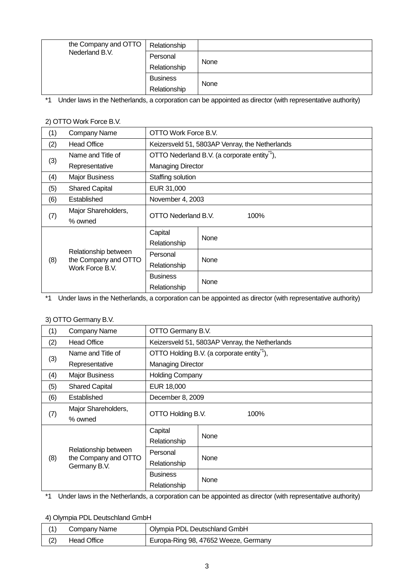| the Company and OTTO | Relationship    |      |
|----------------------|-----------------|------|
| Nederland B.V.       | Personal        | None |
|                      | Relationship    |      |
|                      | <b>Business</b> | None |
|                      | Relationship    |      |

\*1 Under laws in the Netherlands, a corporation can be appointed as director (with representative authority)

# 2) OTTO Work Force B.V.

| (1) | Company Name                            | OTTO Work Force B.V.                           |                                                         |  |  |
|-----|-----------------------------------------|------------------------------------------------|---------------------------------------------------------|--|--|
| (2) | <b>Head Office</b>                      | Keizersveld 51, 5803AP Venray, the Netherlands |                                                         |  |  |
|     | Name and Title of                       |                                                | OTTO Nederland B.V. (a corporate entity <sup>1</sup> ), |  |  |
| (3) | Representative                          |                                                | <b>Managing Director</b>                                |  |  |
| (4) | <b>Major Business</b>                   | Staffing solution                              |                                                         |  |  |
| (5) | <b>Shared Capital</b>                   | EUR 31,000                                     |                                                         |  |  |
| (6) | Established                             | November 4, 2003                               |                                                         |  |  |
|     | Major Shareholders,                     | OTTO Nederland B.V.<br>100%                    |                                                         |  |  |
| (7) | % owned                                 |                                                |                                                         |  |  |
|     | Relationship between                    | Capital                                        | None                                                    |  |  |
|     |                                         | Relationship                                   |                                                         |  |  |
|     |                                         | Personal                                       | None                                                    |  |  |
| (8) | the Company and OTTO<br>Work Force B.V. | Relationship                                   |                                                         |  |  |
|     |                                         | <b>Business</b>                                | None                                                    |  |  |
|     |                                         | Relationship                                   |                                                         |  |  |

\*1 Under laws in the Netherlands, a corporation can be appointed as director (with representative authority)

# 3) OTTO Germany B.V.

| (1) | Company Name                                                 | OTTO Germany B.V.                                     |                        |  |  |
|-----|--------------------------------------------------------------|-------------------------------------------------------|------------------------|--|--|
| (2) | <b>Head Office</b>                                           | Keizersveld 51, 5803AP Venray, the Netherlands        |                        |  |  |
|     | Name and Title of                                            | OTTO Holding B.V. (a corporate entity <sup>1</sup> ), |                        |  |  |
| (3) | Representative                                               | <b>Managing Director</b>                              |                        |  |  |
| (4) | <b>Major Business</b>                                        |                                                       | <b>Holding Company</b> |  |  |
| (5) | <b>Shared Capital</b>                                        | EUR 18,000                                            |                        |  |  |
| (6) | Established                                                  | December 8, 2009                                      |                        |  |  |
|     | Major Shareholders,                                          |                                                       |                        |  |  |
| (7) | % owned                                                      | OTTO Holding B.V.<br>100%                             |                        |  |  |
|     | Relationship between<br>the Company and OTTO<br>Germany B.V. | Capital                                               | None                   |  |  |
|     |                                                              | Relationship                                          |                        |  |  |
|     |                                                              | Personal                                              | None                   |  |  |
| (8) |                                                              | Relationship                                          |                        |  |  |
|     |                                                              | <b>Business</b>                                       | None                   |  |  |
|     |                                                              | Relationship                                          |                        |  |  |

\*1 Under laws in the Netherlands, a corporation can be appointed as director (with representative authority)

### 4) Olympia PDL Deutschland GmbH

|     | Company Name | Olympia PDL Deutschland GmbH         |
|-----|--------------|--------------------------------------|
| (2) | Head Office  | Europa-Ring 98, 47652 Weeze, Germany |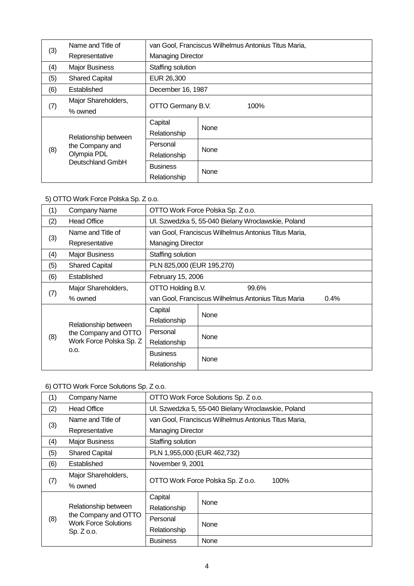|     | Name and Title of                                      |                   | van Gool, Franciscus Wilhelmus Antonius Titus Maria, |  |  |
|-----|--------------------------------------------------------|-------------------|------------------------------------------------------|--|--|
| (3) | Representative                                         |                   | <b>Managing Director</b>                             |  |  |
| (4) | <b>Major Business</b>                                  | Staffing solution |                                                      |  |  |
| (5) | <b>Shared Capital</b>                                  | EUR 26,300        |                                                      |  |  |
| (6) | Established                                            |                   | December 16, 1987                                    |  |  |
|     | Major Shareholders,                                    |                   |                                                      |  |  |
| (7) | % owned                                                |                   | OTTO Germany B.V.<br>100%                            |  |  |
|     | Relationship between<br>the Company and<br>Olympia PDL | Capital           | None                                                 |  |  |
|     |                                                        | Relationship      |                                                      |  |  |
|     |                                                        | Personal          |                                                      |  |  |
| (8) |                                                        | Relationship      | None                                                 |  |  |
|     | Deutschland GmbH                                       | <b>Business</b>   |                                                      |  |  |
|     |                                                        | Relationship      | None                                                 |  |  |

# 5) OTTO Work Force Polska Sp. Z o.o.

| (1) | Company Name                                 | OTTO Work Force Polska Sp. Z o.o.                           |                                                    |  |  |  |
|-----|----------------------------------------------|-------------------------------------------------------------|----------------------------------------------------|--|--|--|
| (2) | <b>Head Office</b>                           |                                                             | Ul. Szwedzka 5, 55-040 Bielany Wroclawskie, Poland |  |  |  |
|     | Name and Title of                            | van Gool, Franciscus Wilhelmus Antonius Titus Maria,        |                                                    |  |  |  |
| (3) | Representative                               | <b>Managing Director</b>                                    |                                                    |  |  |  |
| (4) | <b>Major Business</b>                        | Staffing solution                                           |                                                    |  |  |  |
| (5) | <b>Shared Capital</b>                        | PLN 825,000 (EUR 195,270)                                   |                                                    |  |  |  |
| (6) | Established                                  | February 15, 2006                                           |                                                    |  |  |  |
|     | Major Shareholders,                          | OTTO Holding B.V.<br>99.6%                                  |                                                    |  |  |  |
| (7) | % owned                                      | van Gool, Franciscus Wilhelmus Antonius Titus Maria<br>0.4% |                                                    |  |  |  |
|     |                                              | Capital                                                     | None                                               |  |  |  |
|     | Relationship between<br>the Company and OTTO | Relationship                                                |                                                    |  |  |  |
|     |                                              | Personal                                                    | None                                               |  |  |  |
| (8) | Work Force Polska Sp. Z                      | Relationship                                                |                                                    |  |  |  |
|     | O.O.                                         | <b>Business</b>                                             | None                                               |  |  |  |
|     |                                              | Relationship                                                |                                                    |  |  |  |

# 6) OTTO Work Force Solutions Sp. Z o.o.

| (1) | Company Name                                                                | OTTO Work Force Solutions Sp. Z o.o.               |                                                      |  |  |
|-----|-----------------------------------------------------------------------------|----------------------------------------------------|------------------------------------------------------|--|--|
| (2) | <b>Head Office</b>                                                          | Ul. Szwedzka 5, 55-040 Bielany Wroclawskie, Poland |                                                      |  |  |
|     | Name and Title of                                                           |                                                    | van Gool, Franciscus Wilhelmus Antonius Titus Maria, |  |  |
| (3) | Representative                                                              | <b>Managing Director</b>                           |                                                      |  |  |
| (4) | <b>Major Business</b>                                                       | Staffing solution                                  |                                                      |  |  |
| (5) | <b>Shared Capital</b>                                                       | PLN 1,955,000 (EUR 462,732)                        |                                                      |  |  |
| (6) | Established                                                                 | November 9, 2001                                   |                                                      |  |  |
|     | Major Shareholders,                                                         | OTTO Work Force Polska Sp. Z o.o.                  |                                                      |  |  |
| (7) | % owned                                                                     |                                                    | 100%                                                 |  |  |
|     |                                                                             | Capital                                            | None                                                 |  |  |
|     | Relationship between<br>the Company and OTTO<br><b>Work Force Solutions</b> | Relationship                                       |                                                      |  |  |
| (8) |                                                                             | Personal                                           | None                                                 |  |  |
|     | Sp. Z 0.0.                                                                  | Relationship                                       |                                                      |  |  |
|     |                                                                             | <b>Business</b>                                    | None                                                 |  |  |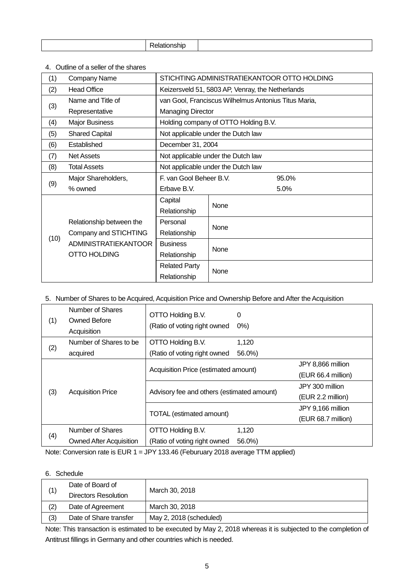| .<br>∟וווכי |
|-------------|
|-------------|

4.Outline of a seller of the shares

| (1)  | <b>Company Name</b>         | STICHTING ADMINISTRATIEKANTOOR OTTO HOLDING          |                                      |      |  |
|------|-----------------------------|------------------------------------------------------|--------------------------------------|------|--|
| (2)  | <b>Head Office</b>          | Keizersveld 51, 5803 AP, Venray, the Netherlands     |                                      |      |  |
|      | Name and Title of           | van Gool, Franciscus Wilhelmus Antonius Titus Maria, |                                      |      |  |
| (3)  | Representative              | <b>Managing Director</b>                             |                                      |      |  |
| (4)  | <b>Major Business</b>       |                                                      | Holding company of OTTO Holding B.V. |      |  |
| (5)  | <b>Shared Capital</b>       |                                                      | Not applicable under the Dutch law   |      |  |
| (6)  | Established                 |                                                      | December 31, 2004                    |      |  |
| (7)  | <b>Net Assets</b>           | Not applicable under the Dutch law                   |                                      |      |  |
| (8)  | <b>Total Assets</b>         | Not applicable under the Dutch law                   |                                      |      |  |
|      | Major Shareholders,         | F. van Gool Beheer B.V.<br>95.0%                     |                                      |      |  |
| (9)  | % owned                     | Erbave B.V.                                          |                                      | 5.0% |  |
|      |                             | Capital                                              | None                                 |      |  |
|      |                             | Relationship                                         |                                      |      |  |
|      | Relationship between the    | Personal                                             | None                                 |      |  |
| (10) | Company and STICHTING       | Relationship                                         |                                      |      |  |
|      | <b>ADMINISTRATIEKANTOOR</b> | <b>Business</b>                                      | None                                 |      |  |
|      | OTTO HOLDING                | Relationship                                         |                                      |      |  |
|      |                             | <b>Related Party</b>                                 |                                      |      |  |
|      |                             | Relationship                                         | None                                 |      |  |

# 5. Number of Shares to be Acquired, Acquisition Price and Ownership Before and After the Acquisition

| (1) | Number of Shares<br>Owned Before<br>Acquisition | OTTO Holding B.V.<br>(Ratio of voting right owned | 0<br>$0\%)$ |                    |
|-----|-------------------------------------------------|---------------------------------------------------|-------------|--------------------|
|     | Number of Shares to be                          | OTTO Holding B.V.                                 | 1,120       |                    |
| (2) | acquired                                        | (Ratio of voting right owned                      | 56.0%)      |                    |
|     | <b>Acquisition Price</b>                        | Acquisition Price (estimated amount)              |             | JPY 8,866 million  |
|     |                                                 |                                                   |             | (EUR 66.4 million) |
|     |                                                 |                                                   |             | JPY 300 million    |
| (3) |                                                 | Advisory fee and others (estimated amount)        |             | (EUR 2.2 million)  |
|     |                                                 |                                                   |             | JPY 9,166 million  |
|     |                                                 | <b>TOTAL</b> (estimated amount)                   |             | (EUR 68.7 million) |
|     | Number of Shares                                | OTTO Holding B.V.                                 | 1,120       |                    |
| (4) | <b>Owned After Acquisition</b>                  | (Ratio of voting right owned                      | 56.0%)      |                    |

Note: Conversion rate is EUR 1 = JPY 133.46 (Feburuary 2018 average TTM applied)

# 6. Schedule

| (1) | Date of Board of       | March 30, 2018          |
|-----|------------------------|-------------------------|
|     | Directors Resolution   |                         |
| (2) | Date of Agreement      | March 30, 2018          |
| (3) | Date of Share transfer | May 2, 2018 (scheduled) |

Note: This transaction is estimated to be executed by May 2, 2018 whereas it is subjected to the completion of Antitrust fillings in Germany and other countries which is needed.